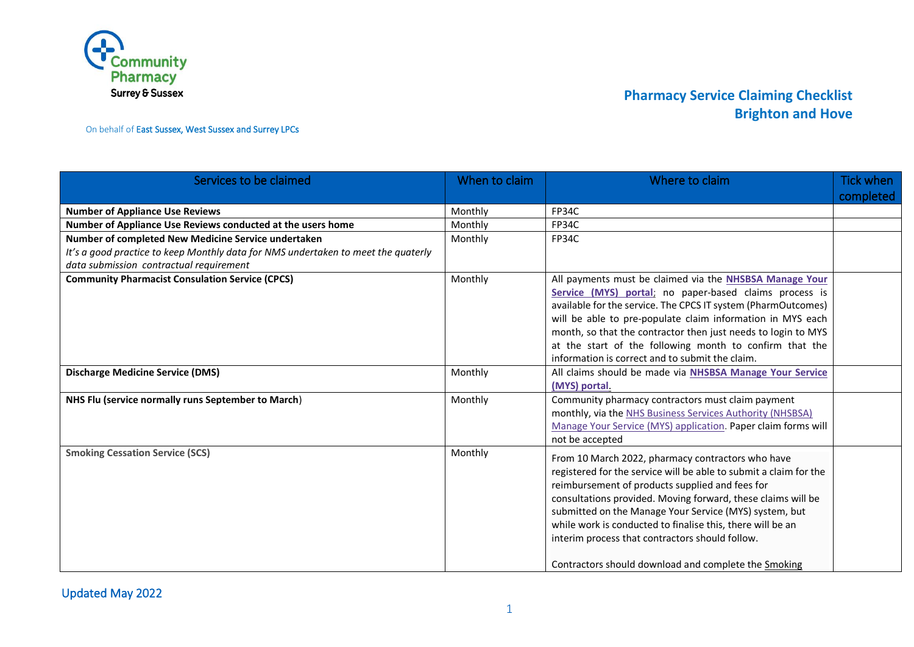

On behalf of East Sussex, West Sussex and Surrey LPCs

| Services to be claimed                                                                                                                                                              | When to claim | Where to claim                                                                                                                                                                                                                                                                                                                                                                                                                                                               | Tick when |
|-------------------------------------------------------------------------------------------------------------------------------------------------------------------------------------|---------------|------------------------------------------------------------------------------------------------------------------------------------------------------------------------------------------------------------------------------------------------------------------------------------------------------------------------------------------------------------------------------------------------------------------------------------------------------------------------------|-----------|
|                                                                                                                                                                                     |               |                                                                                                                                                                                                                                                                                                                                                                                                                                                                              | completed |
| <b>Number of Appliance Use Reviews</b>                                                                                                                                              | Monthly       | FP34C                                                                                                                                                                                                                                                                                                                                                                                                                                                                        |           |
| Number of Appliance Use Reviews conducted at the users home                                                                                                                         | Monthly       | FP34C                                                                                                                                                                                                                                                                                                                                                                                                                                                                        |           |
| Number of completed New Medicine Service undertaken<br>It's a good practice to keep Monthly data for NMS undertaken to meet the quaterly<br>data submission contractual requirement | Monthly       | FP34C                                                                                                                                                                                                                                                                                                                                                                                                                                                                        |           |
| <b>Community Pharmacist Consulation Service (CPCS)</b>                                                                                                                              | Monthly       | All payments must be claimed via the NHSBSA Manage Your<br>Service (MYS) portal; no paper-based claims process is<br>available for the service. The CPCS IT system (PharmOutcomes)<br>will be able to pre-populate claim information in MYS each<br>month, so that the contractor then just needs to login to MYS<br>at the start of the following month to confirm that the<br>information is correct and to submit the claim.                                              |           |
| <b>Discharge Medicine Service (DMS)</b>                                                                                                                                             | Monthly       | All claims should be made via NHSBSA Manage Your Service<br>(MYS) portal.                                                                                                                                                                                                                                                                                                                                                                                                    |           |
| NHS Flu (service normally runs September to March)                                                                                                                                  | Monthly       | Community pharmacy contractors must claim payment<br>monthly, via the NHS Business Services Authority (NHSBSA)<br>Manage Your Service (MYS) application. Paper claim forms will<br>not be accepted                                                                                                                                                                                                                                                                           |           |
| <b>Smoking Cessation Service (SCS)</b>                                                                                                                                              | Monthly       | From 10 March 2022, pharmacy contractors who have<br>registered for the service will be able to submit a claim for the<br>reimbursement of products supplied and fees for<br>consultations provided. Moving forward, these claims will be<br>submitted on the Manage Your Service (MYS) system, but<br>while work is conducted to finalise this, there will be an<br>interim process that contractors should follow.<br>Contractors should download and complete the Smoking |           |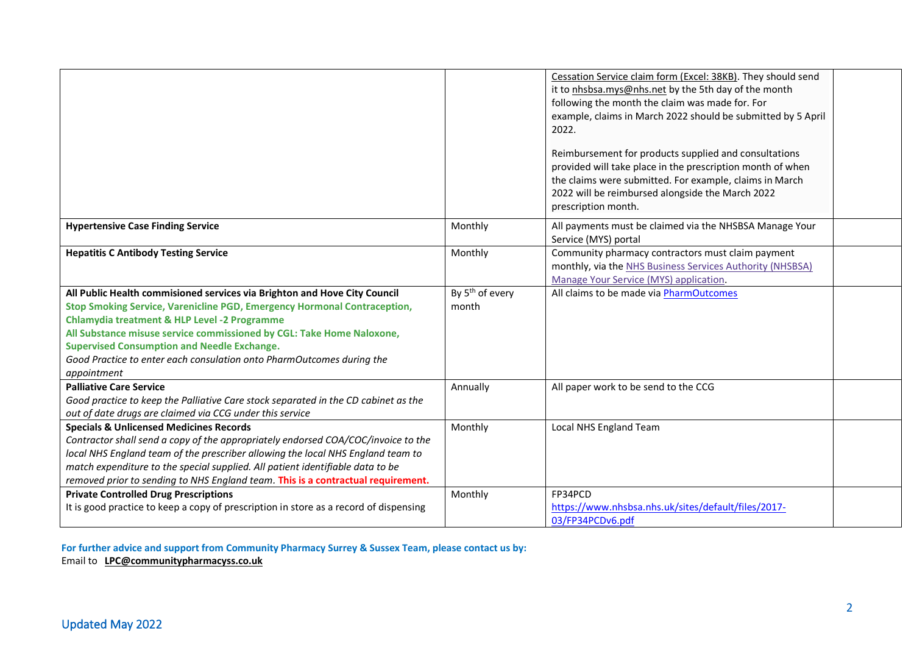|                                                                                                                                                                                                                                                                                                                                                                                                                                         |                                      | Cessation Service claim form (Excel: 38KB). They should send<br>it to nhsbsa.mys@nhs.net by the 5th day of the month<br>following the month the claim was made for. For<br>example, claims in March 2022 should be submitted by 5 April<br>2022.<br>Reimbursement for products supplied and consultations<br>provided will take place in the prescription month of when<br>the claims were submitted. For example, claims in March<br>2022 will be reimbursed alongside the March 2022<br>prescription month. |  |
|-----------------------------------------------------------------------------------------------------------------------------------------------------------------------------------------------------------------------------------------------------------------------------------------------------------------------------------------------------------------------------------------------------------------------------------------|--------------------------------------|---------------------------------------------------------------------------------------------------------------------------------------------------------------------------------------------------------------------------------------------------------------------------------------------------------------------------------------------------------------------------------------------------------------------------------------------------------------------------------------------------------------|--|
| <b>Hypertensive Case Finding Service</b>                                                                                                                                                                                                                                                                                                                                                                                                | Monthly                              | All payments must be claimed via the NHSBSA Manage Your<br>Service (MYS) portal                                                                                                                                                                                                                                                                                                                                                                                                                               |  |
| <b>Hepatitis C Antibody Testing Service</b>                                                                                                                                                                                                                                                                                                                                                                                             | Monthly                              | Community pharmacy contractors must claim payment<br>monthly, via the NHS Business Services Authority (NHSBSA)<br>Manage Your Service (MYS) application.                                                                                                                                                                                                                                                                                                                                                      |  |
| All Public Health commisioned services via Brighton and Hove City Council<br>Stop Smoking Service, Varenicline PGD, Emergency Hormonal Contraception,<br><b>Chlamydia treatment &amp; HLP Level -2 Programme</b><br>All Substance misuse service commissioned by CGL: Take Home Naloxone,<br><b>Supervised Consumption and Needle Exchange.</b><br>Good Practice to enter each consulation onto PharmOutcomes during the<br>appointment | By 5 <sup>th</sup> of every<br>month | All claims to be made via PharmOutcomes                                                                                                                                                                                                                                                                                                                                                                                                                                                                       |  |
| <b>Palliative Care Service</b><br>Good practice to keep the Palliative Care stock separated in the CD cabinet as the<br>out of date drugs are claimed via CCG under this service                                                                                                                                                                                                                                                        | Annually                             | All paper work to be send to the CCG                                                                                                                                                                                                                                                                                                                                                                                                                                                                          |  |
| <b>Specials &amp; Unlicensed Medicines Records</b><br>Contractor shall send a copy of the appropriately endorsed COA/COC/invoice to the<br>local NHS England team of the prescriber allowing the local NHS England team to<br>match expenditure to the special supplied. All patient identifiable data to be<br>removed prior to sending to NHS England team. This is a contractual requirement.                                        | Monthly                              | Local NHS England Team                                                                                                                                                                                                                                                                                                                                                                                                                                                                                        |  |
| <b>Private Controlled Drug Prescriptions</b><br>It is good practice to keep a copy of prescription in store as a record of dispensing                                                                                                                                                                                                                                                                                                   | Monthly                              | FP34PCD<br>https://www.nhsbsa.nhs.uk/sites/default/files/2017-<br>03/FP34PCDv6.pdf                                                                                                                                                                                                                                                                                                                                                                                                                            |  |

**For further advice and support from Community Pharmacy Surrey & Sussex Team, please contact us by:**  Email to **[LPC@communitypharmacyss.co.uk](mailto:LPC@communitypharmacyss.co.uk)**